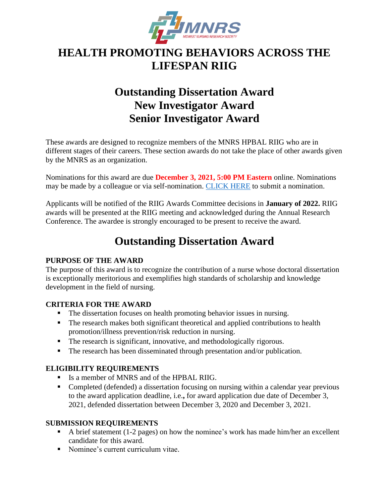

# **HEALTH PROMOTING BEHAVIORS ACROSS THE LIFESPAN RIIG**

# **Outstanding Dissertation Award New Investigator Award Senior Investigator Award**

These awards are designed to recognize members of the MNRS HPBAL RIIG who are in different stages of their careers. These section awards do not take the place of other awards given by the MNRS as an organization.

Nominations for this award are due **December 3, 2021, 5:00 PM Eastern** online. Nominations may be made by a colleague or via self-nomination. [CLICK HERE](https://mnrs.societyconference.com/?conf_id=10006&m=user&h=event/ev_073mx) to submit a nomination.

Applicants will be notified of the RIIG Awards Committee decisions in **January of 2022.** RIIG awards will be presented at the RIIG meeting and acknowledged during the Annual Research Conference. The awardee is strongly encouraged to be present to receive the award.

# **Outstanding Dissertation Award**

# **PURPOSE OF THE AWARD**

The purpose of this award is to recognize the contribution of a nurse whose doctoral dissertation is exceptionally meritorious and exemplifies high standards of scholarship and knowledge development in the field of nursing.

### **CRITERIA FOR THE AWARD**

- The dissertation focuses on health promoting behavior issues in nursing.
- The research makes both significant theoretical and applied contributions to health promotion/illness prevention/risk reduction in nursing.
- The research is significant, innovative, and methodologically rigorous.
- The research has been disseminated through presentation and/or publication.

# **ELIGIBILITY REQUIREMENTS**

- Is a member of MNRS and of the HPBAL RIIG.
- Completed (defended) a dissertation focusing on nursing within a calendar year previous to the award application deadline, i.e.**,** for award application due date of December 3, 2021, defended dissertation between December 3, 2020 and December 3, 2021.

### **SUBMISSION REQUIREMENTS**

- $\blacksquare$  A brief statement (1-2 pages) on how the nominee's work has made him/her an excellent candidate for this award.
- Nominee's current curriculum vitae.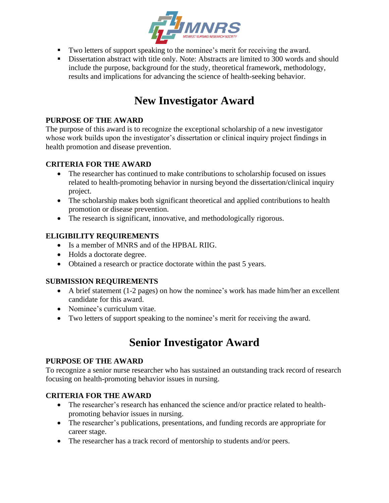

- Two letters of support speaking to the nominee's merit for receiving the award.
- **EXECUTE:** Dissertation abstract with title only. Note: Abstracts are limited to 300 words and should include the purpose, background for the study, theoretical framework, methodology, results and implications for advancing the science of health-seeking behavior.

# **New Investigator Award**

### **PURPOSE OF THE AWARD**

The purpose of this award is to recognize the exceptional scholarship of a new investigator whose work builds upon the investigator's dissertation or clinical inquiry project findings in health promotion and disease prevention.

### **CRITERIA FOR THE AWARD**

- The researcher has continued to make contributions to scholarship focused on issues related to health-promoting behavior in nursing beyond the dissertation/clinical inquiry project.
- The scholarship makes both significant theoretical and applied contributions to health promotion or disease prevention.
- The research is significant, innovative, and methodologically rigorous.

# **ELIGIBILITY REQUIREMENTS**

- Is a member of MNRS and of the HPBAL RIIG.
- Holds a doctorate degree.
- Obtained a research or practice doctorate within the past 5 years.

### **SUBMISSION REQUIREMENTS**

- A brief statement (1-2 pages) on how the nominee's work has made him/her an excellent candidate for this award.
- Nominee's curriculum vitae.
- Two letters of support speaking to the nominee's merit for receiving the award.

# **Senior Investigator Award**

### **PURPOSE OF THE AWARD**

To recognize a senior nurse researcher who has sustained an outstanding track record of research focusing on health-promoting behavior issues in nursing.

### **CRITERIA FOR THE AWARD**

- The researcher's research has enhanced the science and/or practice related to healthpromoting behavior issues in nursing.
- The researcher's publications, presentations, and funding records are appropriate for career stage.
- The researcher has a track record of mentorship to students and/or peers.